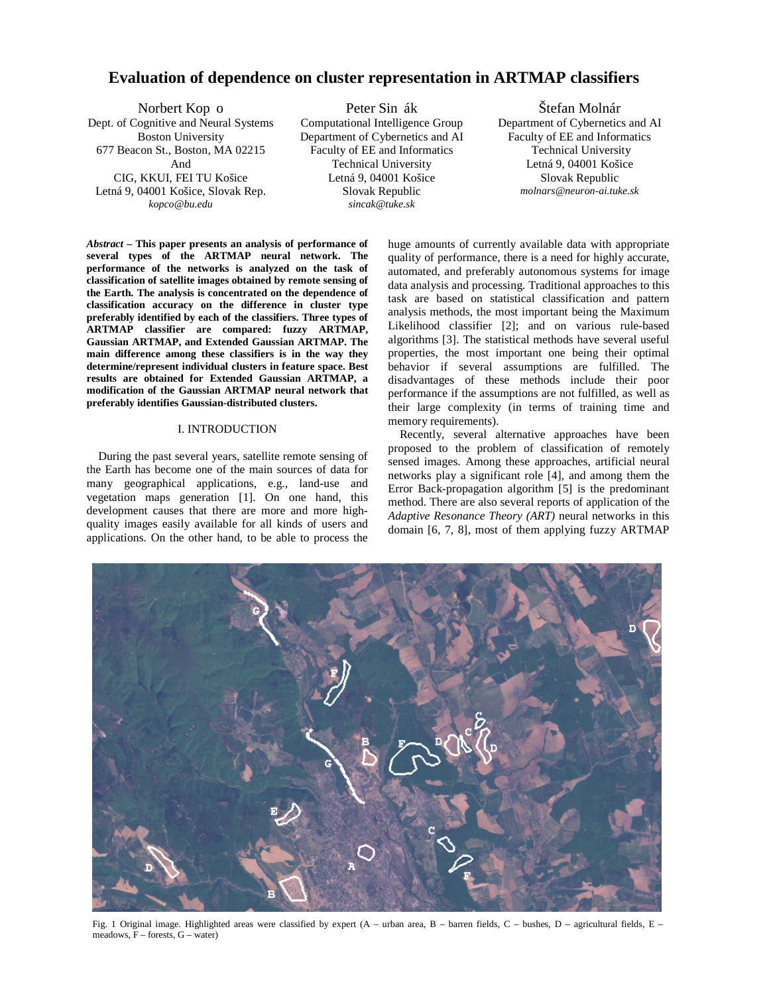# **Evaluation of dependence on cluster representation in ARTMAP classifiers**

Dept. of Cognitive and Neural Systems Computational Intelligence Group Department of Cybernetics and AI 677 Beacon St., Boston, MA 02215 Faculty of EE and Informatics Technical University CIG, KKUI, FEI TU Košice Letná 9, 04001 Košice Slovak Republic Letná 9, 04001 Košice, Slovak Rep. Slovak Republic *kopco@bu.edu sincak@tuke.sk* 

Norbert Kop o Peter Sin ák Štefan Molnár Boston University Department of Cybernetics and AI And Technical University Letná 9, 04001 Košice

*Abstract* **– This paper presents an analysis of performance of several types of the ARTMAP neural network. The performance of the networks is analyzed on the task of classification of satellite images obtained by remote sensing of the Earth. The analysis is concentrated on the dependence of classification accuracy on the difference in cluster type preferably identified by each of the classifiers. Three types of ARTMAP classifier are compared: fuzzy ARTMAP, Gaussian ARTMAP, and Extended Gaussian ARTMAP. The main difference among these classifiers is in the way they determine/represent individual clusters in feature space. Best results are obtained for Extended Gaussian ARTMAP, a modification of the Gaussian ARTMAP neural network that preferably identifies Gaussian-distributed clusters.** 

## I. INTRODUCTION

During the past several years, satellite remote sensing of the Earth has become one of the main sources of data for many geographical applications, e.g., land-use and vegetation maps generation [1]. On one hand, this development causes that there are more and more highquality images easily available for all kinds of users and applications. On the other hand, to be able to process the huge amounts of currently available data with appropriate quality of performance, there is a need for highly accurate, automated, and preferably autonomous systems for image data analysis and processing. Traditional approaches to this task are based on statistical classification and pattern analysis methods, the most important being the Maximum Likelihood classifier [2]; and on various rule-based algorithms [3]. The statistical methods have several useful properties, the most important one being their optimal behavior if several assumptions are fulfilled. The disadvantages of these methods include their poor performance if the assumptions are not fulfilled, as well as their large complexity (in terms of training time and memory requirements).

Recently, several alternative approaches have been proposed to the problem of classification of remotely sensed images. Among these approaches, artificial neural networks play a significant role [4], and among them the Error Back-propagation algorithm [5] is the predominant method. There are also several reports of application of the *Adaptive Resonance Theory (ART)* neural networks in this domain [6, 7, 8], most of them applying fuzzy ARTMAP



Fig. 1 Original image. Highlighted areas were classified by expert (A – urban area, B – barren fields, C – bushes, D – agricultural fields, E – meadows, F – forests, G – water)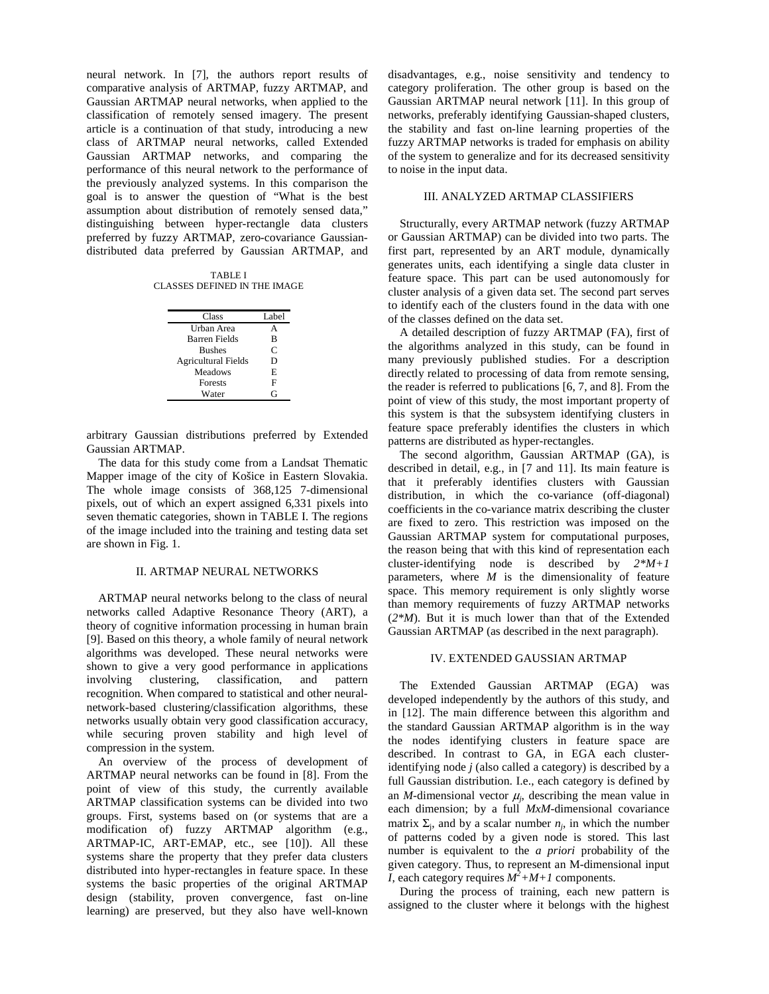neural network. In [7], the authors report results of comparative analysis of ARTMAP, fuzzy ARTMAP, and Gaussian ARTMAP neural networks, when applied to the classification of remotely sensed imagery. The present article is a continuation of that study, introducing a new class of ARTMAP neural networks, called Extended Gaussian ARTMAP networks, and comparing the performance of this neural network to the performance of the previously analyzed systems. In this comparison the goal is to answer the question of "What is the best assumption about distribution of remotely sensed data," distinguishing between hyper-rectangle data clusters preferred by fuzzy ARTMAP, zero-covariance Gaussiandistributed data preferred by Gaussian ARTMAP, and

TABLE I CLASSES DEFINED IN THE IMAGE

| Urban Area<br><b>Barren Fields</b><br>в<br>C<br><b>Bushes</b><br><b>Agricultural Fields</b><br>D<br>Meadows<br>E<br>F<br><b>Forests</b><br>G<br>Water | Class | Label |
|-------------------------------------------------------------------------------------------------------------------------------------------------------|-------|-------|
|                                                                                                                                                       |       |       |
|                                                                                                                                                       |       |       |
|                                                                                                                                                       |       |       |
|                                                                                                                                                       |       |       |
|                                                                                                                                                       |       |       |
|                                                                                                                                                       |       |       |
|                                                                                                                                                       |       |       |

arbitrary Gaussian distributions preferred by Extended Gaussian ARTMAP.

The data for this study come from a Landsat Thematic Mapper image of the city of Košice in Eastern Slovakia. The whole image consists of 368,125 7-dimensional pixels, out of which an expert assigned 6,331 pixels into seven thematic categories, shown in TABLE I. The regions of the image included into the training and testing data set are shown in Fig. 1.

#### II. ARTMAP NEURAL NETWORKS

ARTMAP neural networks belong to the class of neural networks called Adaptive Resonance Theory (ART), a theory of cognitive information processing in human brain [9]. Based on this theory, a whole family of neural network algorithms was developed. These neural networks were shown to give a very good performance in applications<br>involving clustering, classification, and pattern involving clustering, classification, and pattern recognition. When compared to statistical and other neuralnetwork-based clustering/classification algorithms, these networks usually obtain very good classification accuracy, while securing proven stability and high level of compression in the system.

An overview of the process of development of ARTMAP neural networks can be found in [8]. From the point of view of this study, the currently available ARTMAP classification systems can be divided into two groups. First, systems based on (or systems that are a modification of) fuzzy ARTMAP algorithm (e.g., ARTMAP-IC, ART-EMAP, etc., see [10]). All these systems share the property that they prefer data clusters distributed into hyper-rectangles in feature space. In these systems the basic properties of the original ARTMAP design (stability, proven convergence, fast on-line learning) are preserved, but they also have well-known disadvantages, e.g., noise sensitivity and tendency to category proliferation. The other group is based on the Gaussian ARTMAP neural network [11]. In this group of networks, preferably identifying Gaussian-shaped clusters, the stability and fast on-line learning properties of the fuzzy ARTMAP networks is traded for emphasis on ability of the system to generalize and for its decreased sensitivity to noise in the input data.

## III. ANALYZED ARTMAP CLASSIFIERS

Structurally, every ARTMAP network (fuzzy ARTMAP or Gaussian ARTMAP) can be divided into two parts. The first part, represented by an ART module, dynamically generates units, each identifying a single data cluster in feature space. This part can be used autonomously for cluster analysis of a given data set. The second part serves to identify each of the clusters found in the data with one of the classes defined on the data set.

A detailed description of fuzzy ARTMAP (FA), first of the algorithms analyzed in this study, can be found in many previously published studies. For a description directly related to processing of data from remote sensing, the reader is referred to publications [6, 7, and 8]. From the point of view of this study, the most important property of this system is that the subsystem identifying clusters in feature space preferably identifies the clusters in which patterns are distributed as hyper-rectangles.

The second algorithm, Gaussian ARTMAP (GA), is described in detail, e.g., in [7 and 11]. Its main feature is that it preferably identifies clusters with Gaussian distribution, in which the co-variance (off-diagonal) coefficients in the co-variance matrix describing the cluster are fixed to zero. This restriction was imposed on the Gaussian ARTMAP system for computational purposes, the reason being that with this kind of representation each cluster-identifying node is described by *2\*M+1*  parameters, where *M* is the dimensionality of feature space. This memory requirement is only slightly worse than memory requirements of fuzzy ARTMAP networks (*2\*M*). But it is much lower than that of the Extended Gaussian ARTMAP (as described in the next paragraph).

#### IV. EXTENDED GAUSSIAN ARTMAP

The Extended Gaussian ARTMAP (EGA) was developed independently by the authors of this study, and in [12]. The main difference between this algorithm and the standard Gaussian ARTMAP algorithm is in the way the nodes identifying clusters in feature space are described. In contrast to GA, in EGA each clusteridentifying node *j* (also called a category) is described by a full Gaussian distribution. I.e., each category is defined by an *M*-dimensional vector  $\mu_i$ , describing the mean value in each dimension; by a full *MxM*-dimensional covariance matrix  $\Sigma_i$ , and by a scalar number  $n_i$ , in which the number of patterns coded by a given node is stored. This last number is equivalent to the *a priori* probability of the given category. Thus, to represent an M-dimensional input *I*, each category requires  $M^2 + M + I$  components.

During the process of training, each new pattern is assigned to the cluster where it belongs with the highest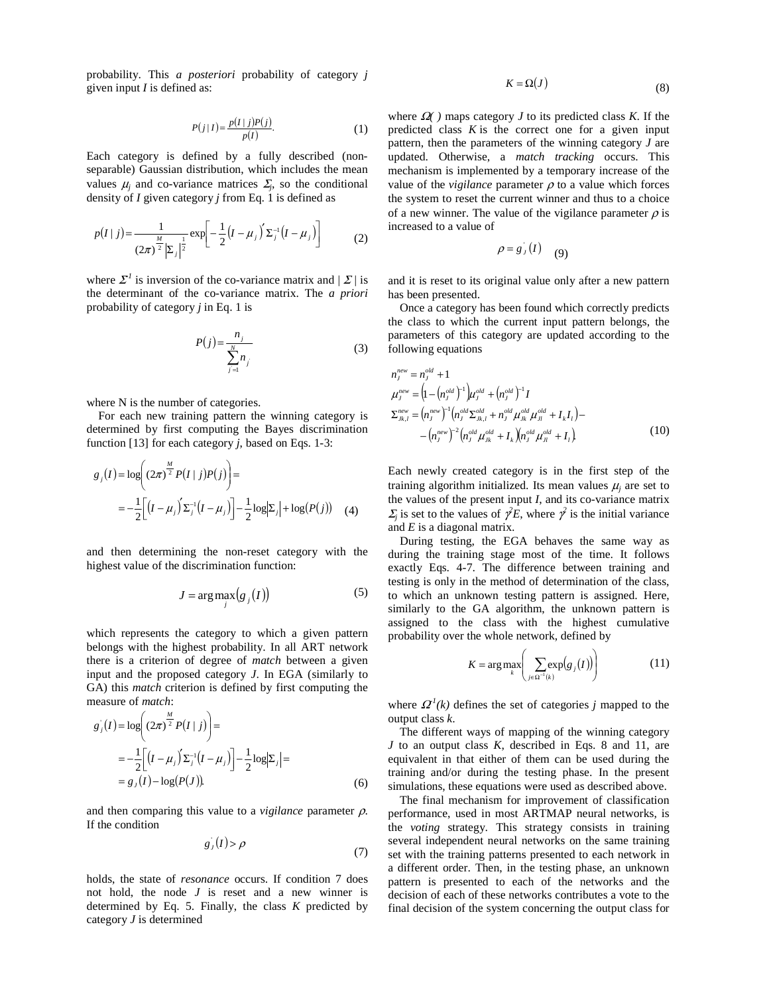probability. This *a posteriori* probability of category *j* given input *I* is defined as:

$$
P(j|I) = \frac{p(I|j)P(j)}{p(I)}.
$$
 (1)

Each category is defined by a fully described (nonseparable) Gaussian distribution, which includes the mean values  $\mu_j$  and co-variance matrices  $\Sigma_j$ , so the conditional density of *I* given category *j* from Eq. 1 is defined as

$$
p(I|j) = \frac{1}{(2\pi)^{\frac{M}{2}} |\Sigma_j|^{\frac{1}{2}}} \exp\left[-\frac{1}{2}(I - \mu_j) \Sigma_j^{-1} (I - \mu_j)\right]
$$
 (2)

where  $\mathcal{Z}^1$  is inversion of the co-variance matrix and  $|\mathcal{Z}/i\mathbf{s}|$ the determinant of the co-variance matrix. The *a priori* probability of category *j* in Eq. 1 is

$$
P(j) = \frac{n_j}{\sum_{j=1}^{N} n_j} \tag{3}
$$

where N is the number of categories.

For each new training pattern the winning category is determined by first computing the Bayes discrimination function [13] for each category *j*, based on Eqs. 1-3:

$$
g_j(I) = \log \left( (2\pi)^{\frac{M}{2}} P(I | j) P(j) \right) =
$$
  
=  $-\frac{1}{2} \Big[ (I - \mu_j)' \Sigma_j^{-1} (I - \mu_j) \Big] - \frac{1}{2} \log |\Sigma_j| + \log(P(j)) \quad (4)$ 

and then determining the non-reset category with the highest value of the discrimination function:

$$
J = \arg \max_{j} (g_j(I))
$$
 (5)

which represents the category to which a given pattern belongs with the highest probability. In all ART network there is a criterion of degree of *match* between a given input and the proposed category *J*. In EGA (similarly to GA) this *match* criterion is defined by first computing the measure of *match*:

$$
g_j(I) = \log \left( (2\pi)^{\frac{M}{2}} P(I|j) \right) =
$$
  
=  $-\frac{1}{2} \Big[ (I - \mu_j) \Sigma_j^{-1} (I - \mu_j) \Big] - \frac{1}{2} \log |\Sigma_j| =$   
=  $g_j(I) - \log(P(I))$ . (6)

and then comparing this value to a *vigilance* parameter ρ. If the condition

$$
g_J(I) > \rho \tag{7}
$$

holds, the state of *resonance* occurs. If condition 7 does not hold, the node *J* is reset and a new winner is determined by Eq. 5. Finally, the class *K* predicted by category *J* is determined

$$
K = \Omega(J) \tag{8}
$$

where  $\Omega$  ) maps category *J* to its predicted class *K*. If the predicted class *K* is the correct one for a given input pattern, then the parameters of the winning category *J* are updated. Otherwise, a *match tracking* occurs. This mechanism is implemented by a temporary increase of the value of the *vigilance* parameter  $\rho$  to a value which forces the system to reset the current winner and thus to a choice of a new winner. The value of the vigilance parameter  $\rho$  is increased to a value of

$$
\rho = g_J(I) \quad (9)
$$

and it is reset to its original value only after a new pattern has been presented.

Once a category has been found which correctly predicts the class to which the current input pattern belongs, the parameters of this category are updated according to the following equations

$$
n_j^{new} = n_j^{old} + 1
$$
  
\n
$$
\mu_j^{new} = (1 - (n_j^{old})^{-1})\mu_j^{old} + (n_j^{old})^{-1}I
$$
  
\n
$$
\Sigma_{jk,l}^{new} = (n_j^{new})^{-1} (n_j^{old} \Sigma_{jk,l}^{old} + n_j^{old} \mu_{jk}^{old} \mu_{jl}^{old} + I_k I_l) -
$$
  
\n
$$
- (n_j^{new})^{-2} (n_j^{old} \mu_{jk}^{old} + I_k) (n_j^{old} \mu_{jl}^{old} + I_l)
$$
\n(10)

Each newly created category is in the first step of the training algorithm initialized. Its mean values  $\mu_i$  are set to the values of the present input *I*, and its co-variance matrix  $\sum_j$  is set to the values of  $\gamma^2 E$ , where  $\gamma^2$  is the initial variance and *E* is a diagonal matrix.

During testing, the EGA behaves the same way as during the training stage most of the time. It follows exactly Eqs. 4-7. The difference between training and testing is only in the method of determination of the class, to which an unknown testing pattern is assigned. Here, similarly to the GA algorithm, the unknown pattern is assigned to the class with the highest cumulative probability over the whole network, defined by

$$
K = \arg \max_{k} \left( \sum_{j \in \Omega^{-1}(k)} \exp(g_j(I)) \right) \tag{11}
$$

where  $\Omega^{1}(k)$  defines the set of categories *j* mapped to the output class *k*.

The different ways of mapping of the winning category *J* to an output class *K*, described in Eqs. 8 and 11, are equivalent in that either of them can be used during the training and/or during the testing phase. In the present simulations, these equations were used as described above.

The final mechanism for improvement of classification performance, used in most ARTMAP neural networks, is the *voting* strategy. This strategy consists in training several independent neural networks on the same training set with the training patterns presented to each network in a different order. Then, in the testing phase, an unknown pattern is presented to each of the networks and the decision of each of these networks contributes a vote to the final decision of the system concerning the output class for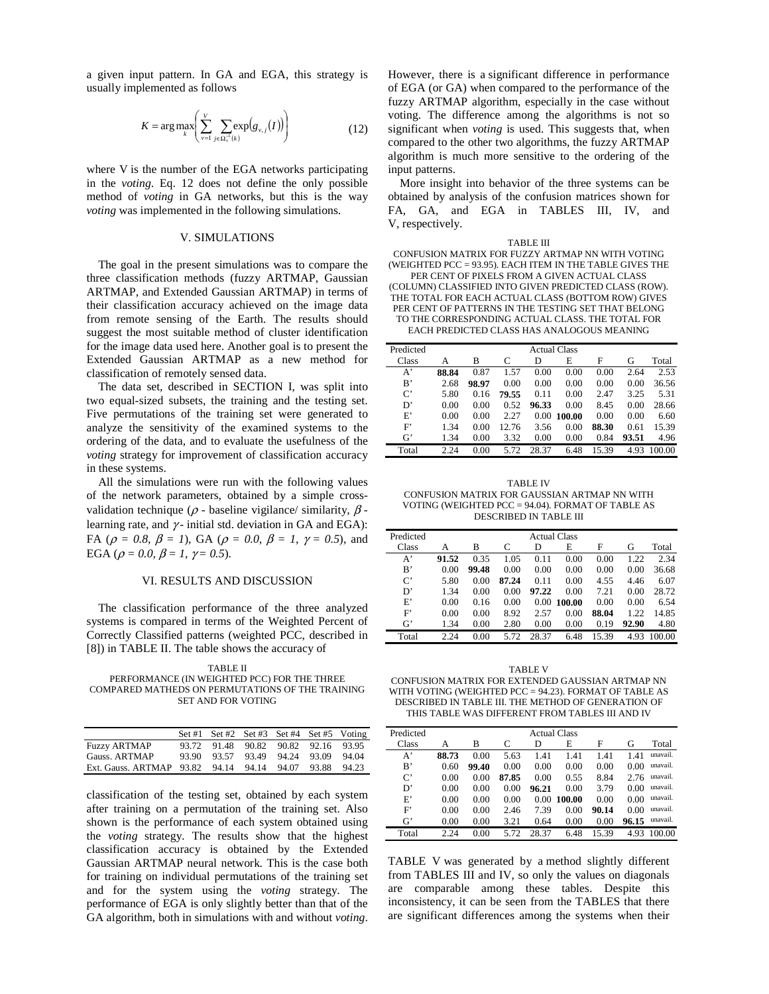a given input pattern. In GA and EGA, this strategy is usually implemented as follows

$$
K = \arg \max_{k} \left( \sum_{v=1}^{V} \sum_{j \in \Omega_v^{-1}(k)} \exp(g_{v,j}(I)) \right) \tag{12}
$$

where V is the number of the EGA networks participating in the *voting*. Eq. 12 does not define the only possible method of *voting* in GA networks, but this is the way *voting* was implemented in the following simulations.

#### V. SIMULATIONS

The goal in the present simulations was to compare the three classification methods (fuzzy ARTMAP, Gaussian ARTMAP, and Extended Gaussian ARTMAP) in terms of their classification accuracy achieved on the image data from remote sensing of the Earth. The results should suggest the most suitable method of cluster identification for the image data used here. Another goal is to present the Extended Gaussian ARTMAP as a new method for classification of remotely sensed data.

The data set, described in SECTION I, was split into two equal-sized subsets, the training and the testing set. Five permutations of the training set were generated to analyze the sensitivity of the examined systems to the ordering of the data, and to evaluate the usefulness of the *voting* strategy for improvement of classification accuracy in these systems.

All the simulations were run with the following values of the network parameters, obtained by a simple crossvalidation technique ( $\rho$  - baseline vigilance/ similarity,  $\beta$  learning rate, and  $\gamma$ - initial std. deviation in GA and EGA): FA ( $\rho = 0.8$ ,  $\beta = 1$ ), GA ( $\rho = 0.0$ ,  $\beta = 1$ ,  $\gamma = 0.5$ ), and EGA ( $\rho = 0.0$ ,  $\beta = 1$ ,  $\gamma = 0.5$ ).

## VI. RESULTS AND DISCUSSION

The classification performance of the three analyzed systems is compared in terms of the Weighted Percent of Correctly Classified patterns (weighted PCC, described in [8]) in TABLE II. The table shows the accuracy of

TABLE II PERFORMANCE (IN WEIGHTED PCC) FOR THE THREE COMPARED MATHEDS ON PERMUTATIONS OF THE TRAINING SET AND FOR VOTING

|                                                        | Set #1 Set #2 Set #3 Set #4 Set #5 Voting |  |  |
|--------------------------------------------------------|-------------------------------------------|--|--|
| <b>Fuzzy ARTMAP</b>                                    | 93.72 91.48 90.82 90.82 92.16 93.95       |  |  |
| Gauss. ARTMAP                                          | 93.90 93.57 93.49 94.24 93.09 94.04       |  |  |
| Ext. Gauss. ARTMAP 93.82 94.14 94.14 94.07 93.88 94.23 |                                           |  |  |

classification of the testing set, obtained by each system after training on a permutation of the training set. Also shown is the performance of each system obtained using the *voting* strategy. The results show that the highest classification accuracy is obtained by the Extended Gaussian ARTMAP neural network. This is the case both for training on individual permutations of the training set and for the system using the *voting* strategy. The performance of EGA is only slightly better than that of the GA algorithm, both in simulations with and without *voting*.

However, there is a significant difference in performance of EGA (or GA) when compared to the performance of the fuzzy ARTMAP algorithm, especially in the case without voting. The difference among the algorithms is not so significant when *voting* is used. This suggests that, when compared to the other two algorithms, the fuzzy ARTMAP algorithm is much more sensitive to the ordering of the input patterns.

More insight into behavior of the three systems can be obtained by analysis of the confusion matrices shown for FA, GA, and EGA in TABLES III, IV, and V, respectively.

#### TABLE III

CONFUSION MATRIX FOR FUZZY ARTMAP NN WITH VOTING (WEIGHTED PCC = 93.95). EACH ITEM IN THE TABLE GIVES THE PER CENT OF PIXELS FROM A GIVEN ACTUAL CLASS

(COLUMN) CLASSIFIED INTO GIVEN PREDICTED CLASS (ROW). THE TOTAL FOR EACH ACTUAL CLASS (BOTTOM ROW) GIVES

PER CENT OF PATTERNS IN THE TESTING SET THAT BELONG

TO THE CORRESPONDING ACTUAL CLASS. THE TOTAL FOR

EACH PREDICTED CLASS HAS ANALOGOUS MEANING

| Predicted       | <b>Actual Class</b> |       |       |       |        |       |       |        |
|-----------------|---------------------|-------|-------|-------|--------|-------|-------|--------|
| Class           | А                   | в     | C     | D     | E      | F     | G     | Total  |
| $A^*$           | 88.84               | 0.87  | 1.57  | 0.00  | 0.00   | 0.00  | 2.64  | 2.53   |
| B,              | 2.68                | 98.97 | 0.00  | 0.00  | 0.00   | 0.00  | 0.00  | 36.56  |
| $\mathcal{C}^*$ | 5.80                | 0.16  | 79.55 | 0.11  | 0.00   | 2.47  | 3.25  | 5.31   |
| D'              | 0.00                | 0.00  | 0.52  | 96.33 | 0.00   | 8.45  | 0.00  | 28.66  |
| E'              | 0.00                | 0.00  | 2.27  | 0.00  | 100.00 | 0.00  | 0.00  | 6.60   |
| F               | 1.34                | 0.00  | 12.76 | 3.56  | 0.00   | 88.30 | 0.61  | 15.39  |
| $G^*$           | 1.34                | 0.00  | 3.32  | 0.00  | 0.00   | 0.84  | 93.51 | 4.96   |
| Total           | 2.24                | 0.00  | 5.72  | 28.37 | 6.48   | 1539  | 4.93  | 100.00 |

TABLE IV CONFUSION MATRIX FOR GAUSSIAN ARTMAP NN WITH VOTING (WEIGHTED PCC = 94.04). FORMAT OF TABLE AS DESCRIBED IN TABLE III

| Predicted | <b>Actual Class</b> |       |       |       |        |       |       |        |
|-----------|---------------------|-------|-------|-------|--------|-------|-------|--------|
| Class     | А                   | B     | C     | D     | E      | F     | G     | Total  |
| $A^*$     | 91.52               | 0.35  | 1.05  | 0.11  | 0.00   | 0.00  | 1.22  | 2.34   |
| B,        | 0.00                | 99.48 | 0.00  | 0.00  | 0.00   | 0.00  | 0.00  | 36.68  |
| $C^*$     | 5.80                | 0.00  | 87.24 | 0.11  | 0.00   | 4.55  | 4.46  | 6.07   |
| D'        | 1.34                | 0.00  | 0.00  | 97.22 | 0.00   | 7.21  | 0.00  | 28.72  |
| E'        | 0.00                | 0.16  | 0.00  | 0.00  | 100.00 | 0.00  | 0.00  | 6.54   |
| F         | 0.00                | 0.00  | 8.92  | 2.57  | 0.00   | 88.04 | 1.22  | 14.85  |
| $G^*$     | 1.34                | 0.00  | 2.80  | 0.00  | 0.00   | 0.19  | 92.90 | 4.80   |
| Total     | 2.24                | 0.00  | 5.72  | 28.37 | 6.48   | 15.39 | 4.93  | 100.00 |

TABLE V CONFUSION MATRIX FOR EXTENDED GAUSSIAN ARTMAP NN WITH VOTING (WEIGHTED PCC = 94.23). FORMAT OF TABLE AS DESCRIBED IN TABLE III. THE METHOD OF GENERATION OF THIS TABLE WAS DIFFERENT FROM TABLES III AND IV

| Predicted | <b>Actual Class</b> |       |       |       |        |       |       |          |
|-----------|---------------------|-------|-------|-------|--------|-------|-------|----------|
| Class     | А                   | B     | C     | D     | E      | F     | G     | Total    |
| $A^*$     | 88.73               | 0.00  | 5.63  | 1.41  | 1.41   | 1.41  | 1.41  | unavail. |
| B,        | 0.60                | 99.40 | 0.00  | 0.00  | 0.00   | 0.00  | 0.00  | unavail. |
| $\rm C$   | 0.00                | 0.00  | 87.85 | 0.00  | 0.55   | 8.84  | 2.76  | unavail. |
| D'        | 0.00                | 0.00  | 0.00  | 96.21 | 0.00   | 3.79  | 0.00  | unavail. |
| E'        | 0.00                | 0.00  | 0.00  | 0.00  | 100.00 | 0.00  | 0.00  | unavail. |
| F         | 0.00                | 0.00  | 2.46  | 7.39  | 0.00   | 90.14 | 0.00  | unavail. |
| $G^*$     | 0.00                | 0.00  | 3.21  | 0.64  | 0.00   | 0.00  | 96.15 | unavail. |
| Total     | 2.24                | 0.00  | 5.72  | 28.37 | 6.48   | 15.39 | 4.93  | 100.00   |

TABLE V was generated by a method slightly different from TABLES III and IV, so only the values on diagonals are comparable among these tables. Despite this inconsistency, it can be seen from the TABLES that there are significant differences among the systems when their